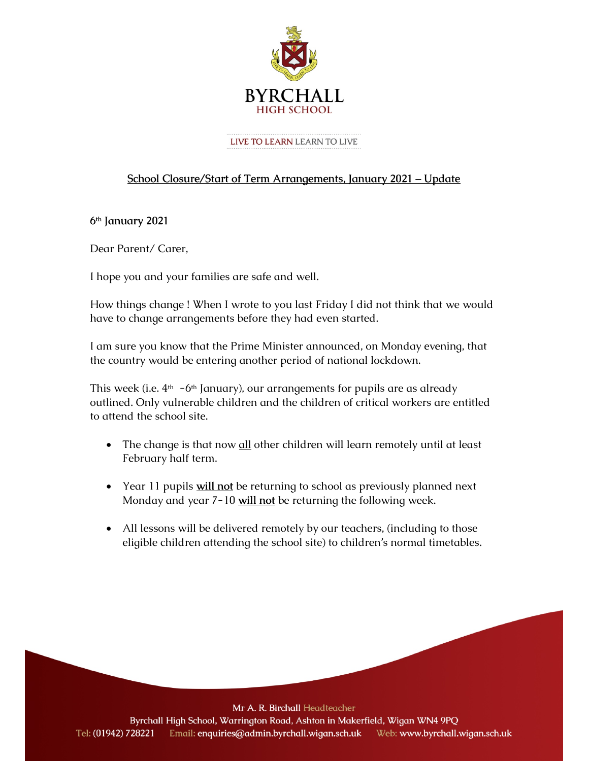

#### LIVE TO LEARN LEARN TO LIVE

# School Closure/Start of Term Arrangements, January 2021 – Update

6th January 2021

Dear Parent/ Carer,

I hope you and your families are safe and well.

How things change ! When I wrote to you last Friday I did not think that we would have to change arrangements before they had even started.

I am sure you know that the Prime Minister announced, on Monday evening, that the country would be entering another period of national lockdown.

This week (i.e.  $4<sup>th</sup>$  -6<sup>th</sup> January), our arrangements for pupils are as already outlined. Only vulnerable children and the children of critical workers are entitled to attend the school site.

- The change is that now all other children will learn remotely until at least February half term.
- Year 11 pupils will not be returning to school as previously planned next Monday and year 7-10 will not be returning the following week.
- All lessons will be delivered remotely by our teachers, (including to those eligible children attending the school site) to children's normal timetables.

Mr A. R. Birchall Headteacher

Byrchall High School, Warrington Road, Ashton in Makerfield, Wigan WN4 9PQ Email: enquiries@admin.byrchall.wigan.sch.uk Tel: (01942) 728221 Web: www.byrchall.wigan.sch.uk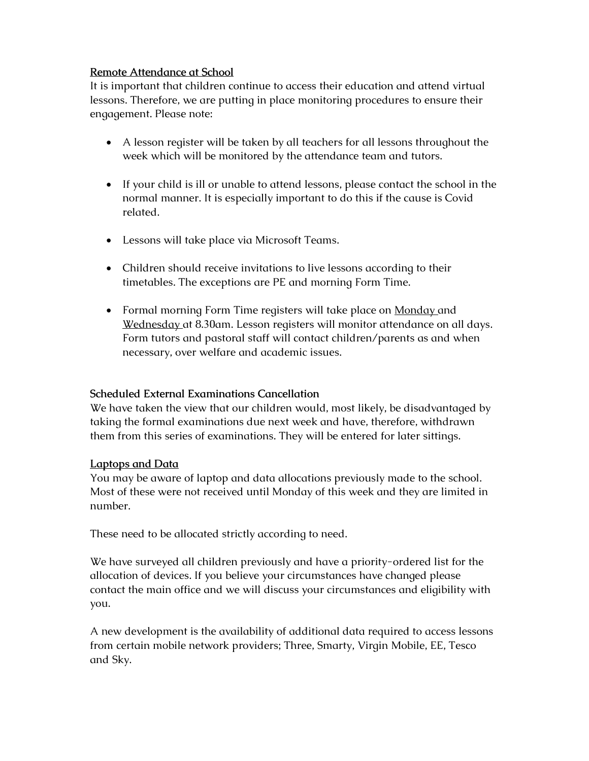## Remote Attendance at School

It is important that children continue to access their education and attend virtual lessons. Therefore, we are putting in place monitoring procedures to ensure their engagement. Please note:

- A lesson register will be taken by all teachers for all lessons throughout the week which will be monitored by the attendance team and tutors.
- If your child is ill or unable to attend lessons, please contact the school in the normal manner. It is especially important to do this if the cause is Covid related.
- Lessons will take place via Microsoft Teams.
- Children should receive invitations to live lessons according to their timetables. The exceptions are PE and morning Form Time.
- Formal morning Form Time registers will take place on **Monday** and Wednesday at 8.30am. Lesson registers will monitor attendance on all days. Form tutors and pastoral staff will contact children/parents as and when necessary, over welfare and academic issues.

# Scheduled External Examinations Cancellation

We have taken the view that our children would, most likely, be disadvantaged by taking the formal examinations due next week and have, therefore, withdrawn them from this series of examinations. They will be entered for later sittings.

#### Laptops and Data

You may be aware of laptop and data allocations previously made to the school. Most of these were not received until Monday of this week and they are limited in number.

These need to be allocated strictly according to need.

We have surveyed all children previously and have a priority-ordered list for the allocation of devices. If you believe your circumstances have changed please contact the main office and we will discuss your circumstances and eligibility with you.

A new development is the availability of additional data required to access lessons from certain mobile network providers; Three, Smarty, Virgin Mobile, EE, Tesco and Sky.